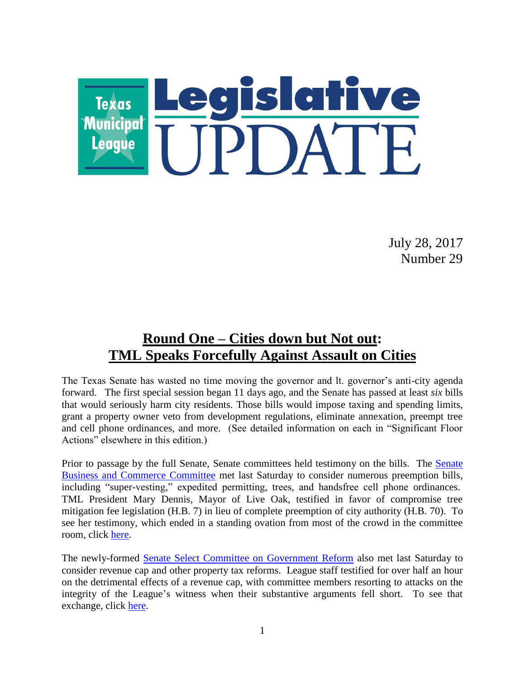

July 28, 2017 Number 29

## **Round One – Cities down but Not out: TML Speaks Forcefully Against Assault on Cities**

The Texas Senate has wasted no time moving the governor and lt. governor's anti-city agenda forward. The first special session began 11 days ago, and the Senate has passed at least *six* bills that would seriously harm city residents. Those bills would impose taxing and spending limits, grant a property owner veto from development regulations, eliminate annexation, preempt tree and cell phone ordinances, and more. (See detailed information on each in "Significant Floor Actions" elsewhere in this edition.)

Prior to passage by the full Senate, Senate committees held testimony on the bills. The [Senate](http://www.senate.texas.gov/cmte.php?c=510)  [Business and Commerce Committee](http://www.senate.texas.gov/cmte.php?c=510) met last Saturday to consider numerous preemption bills, including "super-vesting," expedited permitting, trees, and handsfree cell phone ordinances. TML President Mary Dennis, Mayor of Live Oak, testified in favor of compromise tree mitigation fee legislation (H.B. 7) in lieu of complete preemption of city authority (H.B. 70). To see her testimony, which ended in a standing ovation from most of the crowd in the committee room, click [here.](https://vimeo.com/227088391)

The newly-formed [Senate Select Committee on Government Reform](http://www.senate.texas.gov/cmte.php?c=550) also met last Saturday to consider revenue cap and other property tax reforms. League staff testified for over half an hour on the detrimental effects of a revenue cap, with committee members resorting to attacks on the integrity of the League's witness when their substantive arguments fell short. To see that exchange, click [here.](https://vimeo.com/227122466)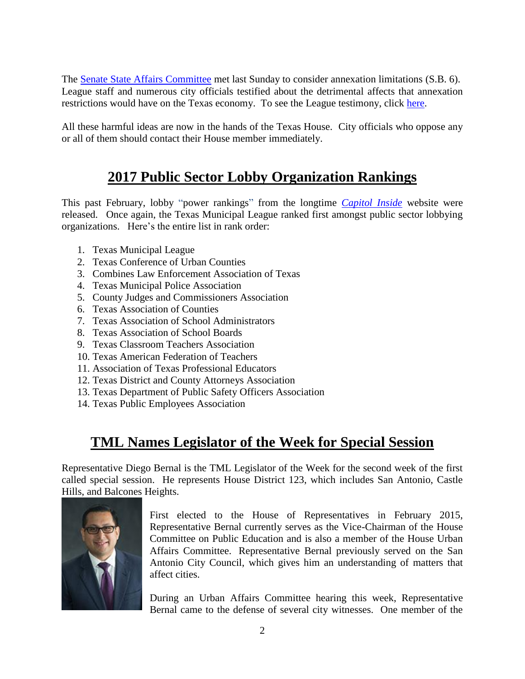The [Senate State Affairs Committee](http://www.senate.texas.gov/cmte.php?c=570) met last Sunday to consider annexation limitations (S.B. 6). League staff and numerous city officials testified about the detrimental affects that annexation restrictions would have on the Texas economy. To see the League testimony, click [here.](https://vimeo.com/227092302)

All these harmful ideas are now in the hands of the Texas House. City officials who oppose any or all of them should contact their House member immediately.

## **2017 Public Sector Lobby Organization Rankings**

This past February, lobby "power rankings" from the longtime *[Capitol Inside](http://www.capitolinside.com/)* website were released. Once again, the Texas Municipal League ranked first amongst public sector lobbying organizations. Here's the entire list in rank order:

- 1. Texas Municipal League
- 2. Texas Conference of Urban Counties
- 3. Combines Law Enforcement Association of Texas
- 4. Texas Municipal Police Association
- 5. County Judges and Commissioners Association
- 6. Texas Association of Counties
- 7. Texas Association of School Administrators
- 8. Texas Association of School Boards
- 9. Texas Classroom Teachers Association
- 10. Texas American Federation of Teachers
- 11. Association of Texas Professional Educators
- 12. Texas District and County Attorneys Association
- 13. Texas Department of Public Safety Officers Association
- 14. Texas Public Employees Association

### **TML Names Legislator of the Week for Special Session**

Representative Diego Bernal is the TML Legislator of the Week for the second week of the first called special session. He represents House District 123, which includes San Antonio, Castle Hills, and Balcones Heights.



First elected to the House of Representatives in February 2015, Representative Bernal currently serves as the Vice-Chairman of the House Committee on Public Education and is also a member of the House Urban Affairs Committee. Representative Bernal previously served on the San Antonio City Council, which gives him an understanding of matters that affect cities.

During an Urban Affairs Committee hearing this week, Representative Bernal came to the defense of several city witnesses. One member of the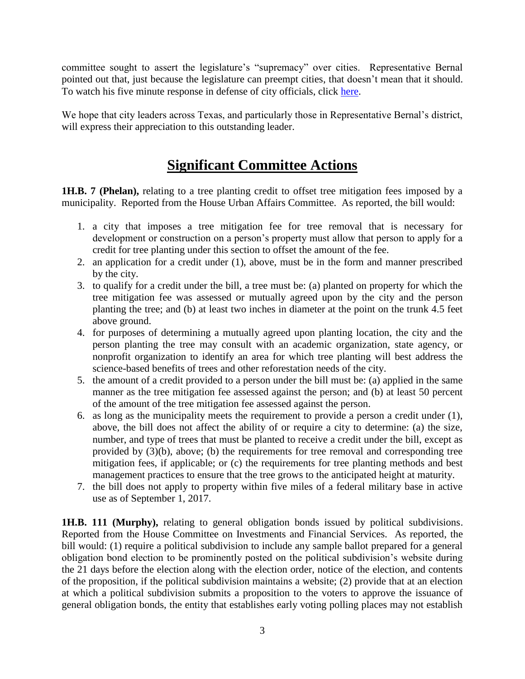committee sought to assert the legislature's "supremacy" over cities. Representative Bernal pointed out that, just because the legislature can preempt cities, that doesn't mean that it should. To watch his five minute response in defense of city officials, click [here.](https://vimeo.com/227089231)

We hope that city leaders across Texas, and particularly those in Representative Bernal's district, will express their appreciation to this outstanding leader.

### **Significant Committee Actions**

**1H.B. 7 (Phelan),** relating to a tree planting credit to offset tree mitigation fees imposed by a municipality. Reported from the House Urban Affairs Committee. As reported, the bill would:

- 1. a city that imposes a tree mitigation fee for tree removal that is necessary for development or construction on a person's property must allow that person to apply for a credit for tree planting under this section to offset the amount of the fee.
- 2. an application for a credit under (1), above, must be in the form and manner prescribed by the city.
- 3. to qualify for a credit under the bill, a tree must be: (a) planted on property for which the tree mitigation fee was assessed or mutually agreed upon by the city and the person planting the tree; and (b) at least two inches in diameter at the point on the trunk 4.5 feet above ground.
- 4. for purposes of determining a mutually agreed upon planting location, the city and the person planting the tree may consult with an academic organization, state agency, or nonprofit organization to identify an area for which tree planting will best address the science-based benefits of trees and other reforestation needs of the city.
- 5. the amount of a credit provided to a person under the bill must be: (a) applied in the same manner as the tree mitigation fee assessed against the person; and (b) at least 50 percent of the amount of the tree mitigation fee assessed against the person.
- 6. as long as the municipality meets the requirement to provide a person a credit under (1), above, the bill does not affect the ability of or require a city to determine: (a) the size, number, and type of trees that must be planted to receive a credit under the bill, except as provided by (3)(b), above; (b) the requirements for tree removal and corresponding tree mitigation fees, if applicable; or (c) the requirements for tree planting methods and best management practices to ensure that the tree grows to the anticipated height at maturity.
- 7. the bill does not apply to property within five miles of a federal military base in active use as of September 1, 2017.

**1H.B. 111 (Murphy),** relating to general obligation bonds issued by political subdivisions. Reported from the House Committee on Investments and Financial Services. As reported, the bill would: (1) require a political subdivision to include any sample ballot prepared for a general obligation bond election to be prominently posted on the political subdivision's website during the 21 days before the election along with the election order, notice of the election, and contents of the proposition, if the political subdivision maintains a website; (2) provide that at an election at which a political subdivision submits a proposition to the voters to approve the issuance of general obligation bonds, the entity that establishes early voting polling places may not establish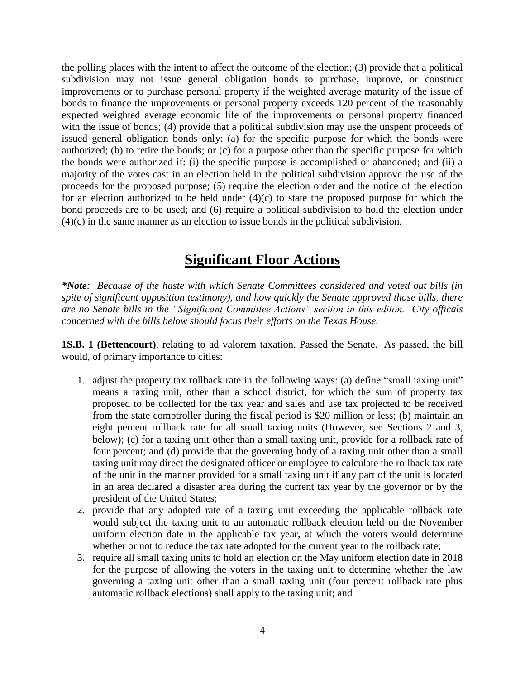the polling places with the intent to affect the outcome of the election; (3) provide that a political subdivision may not issue general obligation bonds to purchase, improve, or construct improvements or to purchase personal property if the weighted average maturity of the issue of bonds to finance the improvements or personal property exceeds 120 percent of the reasonably expected weighted average economic life of the improvements or personal property financed with the issue of bonds; (4) provide that a political subdivision may use the unspent proceeds of issued general obligation bonds only: (a) for the specific purpose for which the bonds were authorized; (b) to retire the bonds; or (c) for a purpose other than the specific purpose for which the bonds were authorized if: (i) the specific purpose is accomplished or abandoned; and (ii) a majority of the votes cast in an election held in the political subdivision approve the use of the proceeds for the proposed purpose; (5) require the election order and the notice of the election for an election authorized to be held under  $(4)(c)$  to state the proposed purpose for which the bond proceeds are to be used; and (6) require a political subdivision to hold the election under (4)(c) in the same manner as an election to issue bonds in the political subdivision.

### **Significant Floor Actions**

*\*Note: Because of the haste with which Senate Committees considered and voted out bills (in spite of significant opposition testimony), and how quickly the Senate approved those bills, there are no Senate bills in the "Significant Committee Actions" section in this editon. City officals concerned with the bills below should focus their efforts on the Texas House.*

**1S.B. 1 (Bettencourt)**, relating to ad valorem taxation. Passed the Senate. As passed, the bill would, of primary importance to cities:

- 1. adjust the property tax rollback rate in the following ways: (a) define "small taxing unit" means a taxing unit, other than a school district, for which the sum of property tax proposed to be collected for the tax year and sales and use tax projected to be received from the state comptroller during the fiscal period is \$20 million or less; (b) maintain an eight percent rollback rate for all small taxing units (However, see Sections 2 and 3, below); (c) for a taxing unit other than a small taxing unit, provide for a rollback rate of four percent; and (d) provide that the governing body of a taxing unit other than a small taxing unit may direct the designated officer or employee to calculate the rollback tax rate of the unit in the manner provided for a small taxing unit if any part of the unit is located in an area declared a disaster area during the current tax year by the governor or by the president of the United States;
- 2. provide that any adopted rate of a taxing unit exceeding the applicable rollback rate would subject the taxing unit to an automatic rollback election held on the November uniform election date in the applicable tax year, at which the voters would determine whether or not to reduce the tax rate adopted for the current year to the rollback rate;
- 3. require all small taxing units to hold an election on the May uniform election date in 2018 for the purpose of allowing the voters in the taxing unit to determine whether the law governing a taxing unit other than a small taxing unit (four percent rollback rate plus automatic rollback elections) shall apply to the taxing unit; and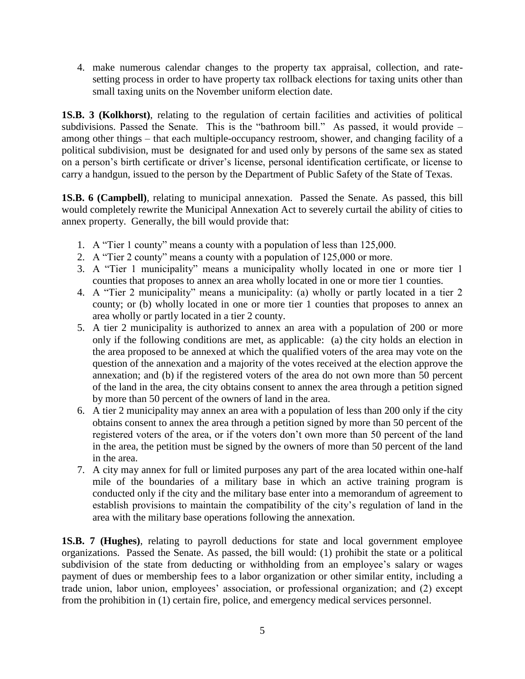4. make numerous calendar changes to the property tax appraisal, collection, and ratesetting process in order to have property tax rollback elections for taxing units other than small taxing units on the November uniform election date.

**1S.B. 3 (Kolkhorst)**, relating to the regulation of certain facilities and activities of political subdivisions. Passed the Senate. This is the "bathroom bill." As passed, it would provide – among other things – that each multiple-occupancy restroom, shower, and changing facility of a political subdivision, must be designated for and used only by persons of the same sex as stated on a person's birth certificate or driver's license, personal identification certificate, or license to carry a handgun, issued to the person by the Department of Public Safety of the State of Texas.

**1S.B. 6 (Campbell)**, relating to municipal annexation. Passed the Senate. As passed, this bill would completely rewrite the Municipal Annexation Act to severely curtail the ability of cities to annex property. Generally, the bill would provide that:

- 1. A "Tier 1 county" means a county with a population of less than 125,000.
- 2. A "Tier 2 county" means a county with a population of 125,000 or more.
- 3. A "Tier 1 municipality" means a municipality wholly located in one or more tier 1 counties that proposes to annex an area wholly located in one or more tier 1 counties.
- 4. A "Tier 2 municipality" means a municipality: (a) wholly or partly located in a tier 2 county; or (b) wholly located in one or more tier 1 counties that proposes to annex an area wholly or partly located in a tier 2 county.
- 5. A tier 2 municipality is authorized to annex an area with a population of 200 or more only if the following conditions are met, as applicable: (a) the city holds an election in the area proposed to be annexed at which the qualified voters of the area may vote on the question of the annexation and a majority of the votes received at the election approve the annexation; and (b) if the registered voters of the area do not own more than 50 percent of the land in the area, the city obtains consent to annex the area through a petition signed by more than 50 percent of the owners of land in the area.
- 6. A tier 2 municipality may annex an area with a population of less than 200 only if the city obtains consent to annex the area through a petition signed by more than 50 percent of the registered voters of the area, or if the voters don't own more than 50 percent of the land in the area, the petition must be signed by the owners of more than 50 percent of the land in the area.
- 7. A city may annex for full or limited purposes any part of the area located within one-half mile of the boundaries of a military base in which an active training program is conducted only if the city and the military base enter into a memorandum of agreement to establish provisions to maintain the compatibility of the city's regulation of land in the area with the military base operations following the annexation.

**1S.B. 7 (Hughes)**, relating to payroll deductions for state and local government employee organizations. Passed the Senate. As passed, the bill would: (1) prohibit the state or a political subdivision of the state from deducting or withholding from an employee's salary or wages payment of dues or membership fees to a labor organization or other similar entity, including a trade union, labor union, employees' association, or professional organization; and (2) except from the prohibition in (1) certain fire, police, and emergency medical services personnel.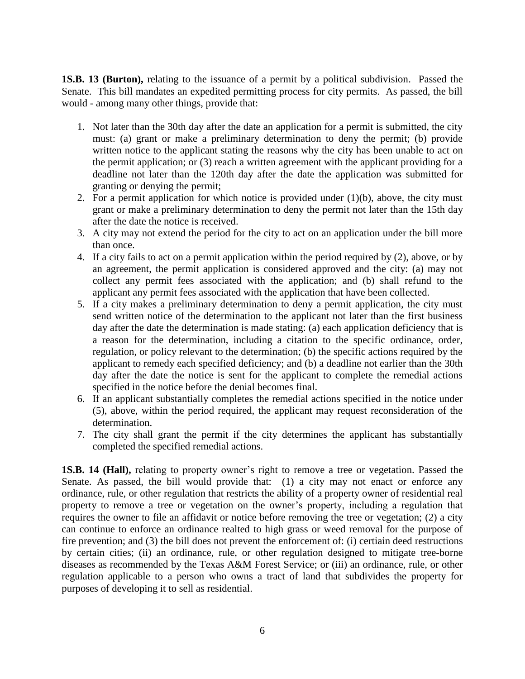**1S.B. 13 (Burton),** relating to the issuance of a permit by a political subdivision. Passed the Senate. This bill mandates an expedited permitting process for city permits. As passed, the bill would - among many other things, provide that:

- 1. Not later than the 30th day after the date an application for a permit is submitted, the city must: (a) grant or make a preliminary determination to deny the permit; (b) provide written notice to the applicant stating the reasons why the city has been unable to act on the permit application; or (3) reach a written agreement with the applicant providing for a deadline not later than the 120th day after the date the application was submitted for granting or denying the permit;
- 2. For a permit application for which notice is provided under  $(1)(b)$ , above, the city must grant or make a preliminary determination to deny the permit not later than the 15th day after the date the notice is received.
- 3. A city may not extend the period for the city to act on an application under the bill more than once.
- 4. If a city fails to act on a permit application within the period required by (2), above, or by an agreement, the permit application is considered approved and the city: (a) may not collect any permit fees associated with the application; and (b) shall refund to the applicant any permit fees associated with the application that have been collected.
- 5. If a city makes a preliminary determination to deny a permit application, the city must send written notice of the determination to the applicant not later than the first business day after the date the determination is made stating: (a) each application deficiency that is a reason for the determination, including a citation to the specific ordinance, order, regulation, or policy relevant to the determination; (b) the specific actions required by the applicant to remedy each specified deficiency; and (b) a deadline not earlier than the 30th day after the date the notice is sent for the applicant to complete the remedial actions specified in the notice before the denial becomes final.
- 6. If an applicant substantially completes the remedial actions specified in the notice under (5), above, within the period required, the applicant may request reconsideration of the determination.
- 7. The city shall grant the permit if the city determines the applicant has substantially completed the specified remedial actions.

**1S.B. 14 (Hall),** relating to property owner's right to remove a tree or vegetation. Passed the Senate. As passed, the bill would provide that: (1) a city may not enact or enforce any ordinance, rule, or other regulation that restricts the ability of a property owner of residential real property to remove a tree or vegetation on the owner's property, including a regulation that requires the owner to file an affidavit or notice before removing the tree or vegetation; (2) a city can continue to enforce an ordinance realted to high grass or weed removal for the purpose of fire prevention; and (3) the bill does not prevent the enforcement of: (i) certiain deed restructions by certain cities; (ii) an ordinance, rule, or other regulation designed to mitigate tree-borne diseases as recommended by the Texas A&M Forest Service; or (iii) an ordinance, rule, or other regulation applicable to a person who owns a tract of land that subdivides the property for purposes of developing it to sell as residential.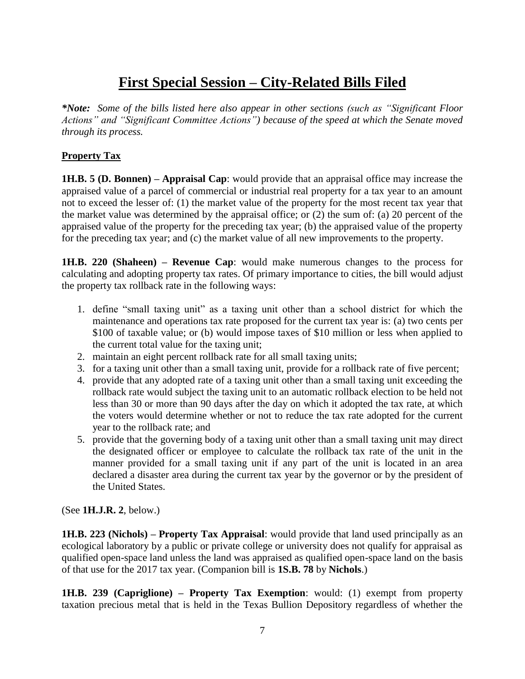# **First Special Session – City-Related Bills Filed**

*\*Note: Some of the bills listed here also appear in other sections (such as "Significant Floor Actions" and "Significant Committee Actions") because of the speed at which the Senate moved through its process.*

#### **Property Tax**

**1H.B. 5 (D. Bonnen) – Appraisal Cap**: would provide that an appraisal office may increase the appraised value of a parcel of commercial or industrial real property for a tax year to an amount not to exceed the lesser of: (1) the market value of the property for the most recent tax year that the market value was determined by the appraisal office; or (2) the sum of: (a) 20 percent of the appraised value of the property for the preceding tax year; (b) the appraised value of the property for the preceding tax year; and (c) the market value of all new improvements to the property.

**1H.B. 220 (Shaheen) – Revenue Cap**: would make numerous changes to the process for calculating and adopting property tax rates. Of primary importance to cities, the bill would adjust the property tax rollback rate in the following ways:

- 1. define "small taxing unit" as a taxing unit other than a school district for which the maintenance and operations tax rate proposed for the current tax year is: (a) two cents per \$100 of taxable value; or (b) would impose taxes of \$10 million or less when applied to the current total value for the taxing unit;
- 2. maintain an eight percent rollback rate for all small taxing units;
- 3. for a taxing unit other than a small taxing unit, provide for a rollback rate of five percent;
- 4. provide that any adopted rate of a taxing unit other than a small taxing unit exceeding the rollback rate would subject the taxing unit to an automatic rollback election to be held not less than 30 or more than 90 days after the day on which it adopted the tax rate, at which the voters would determine whether or not to reduce the tax rate adopted for the current year to the rollback rate; and
- 5. provide that the governing body of a taxing unit other than a small taxing unit may direct the designated officer or employee to calculate the rollback tax rate of the unit in the manner provided for a small taxing unit if any part of the unit is located in an area declared a disaster area during the current tax year by the governor or by the president of the United States.

(See **1H.J.R. 2**, below.)

**1H.B. 223 (Nichols) – Property Tax Appraisal**: would provide that land used principally as an ecological laboratory by a public or private college or university does not qualify for appraisal as qualified open-space land unless the land was appraised as qualified open-space land on the basis of that use for the 2017 tax year. (Companion bill is **1S.B. 78** by **Nichols**.)

**1H.B. 239 (Capriglione) – Property Tax Exemption**: would: (1) exempt from property taxation precious metal that is held in the Texas Bullion Depository regardless of whether the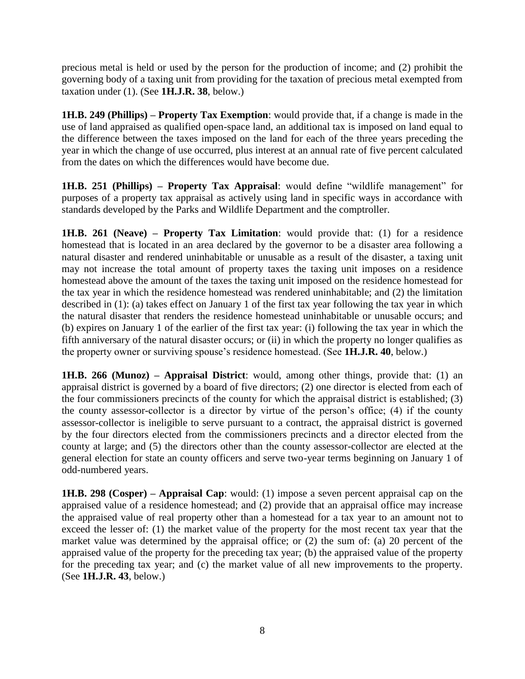precious metal is held or used by the person for the production of income; and (2) prohibit the governing body of a taxing unit from providing for the taxation of precious metal exempted from taxation under (1). (See **1H.J.R. 38**, below.)

**1H.B. 249 (Phillips) – Property Tax Exemption**: would provide that, if a change is made in the use of land appraised as qualified open-space land, an additional tax is imposed on land equal to the difference between the taxes imposed on the land for each of the three years preceding the year in which the change of use occurred, plus interest at an annual rate of five percent calculated from the dates on which the differences would have become due.

**1H.B. 251 (Phillips) – Property Tax Appraisal**: would define "wildlife management" for purposes of a property tax appraisal as actively using land in specific ways in accordance with standards developed by the Parks and Wildlife Department and the comptroller.

**1H.B. 261 (Neave) – Property Tax Limitation**: would provide that: (1) for a residence homestead that is located in an area declared by the governor to be a disaster area following a natural disaster and rendered uninhabitable or unusable as a result of the disaster, a taxing unit may not increase the total amount of property taxes the taxing unit imposes on a residence homestead above the amount of the taxes the taxing unit imposed on the residence homestead for the tax year in which the residence homestead was rendered uninhabitable; and (2) the limitation described in (1): (a) takes effect on January 1 of the first tax year following the tax year in which the natural disaster that renders the residence homestead uninhabitable or unusable occurs; and (b) expires on January 1 of the earlier of the first tax year: (i) following the tax year in which the fifth anniversary of the natural disaster occurs; or (ii) in which the property no longer qualifies as the property owner or surviving spouse's residence homestead. (See **1H.J.R. 40**, below.)

**1H.B. 266 (Munoz) – Appraisal District**: would, among other things, provide that: (1) an appraisal district is governed by a board of five directors; (2) one director is elected from each of the four commissioners precincts of the county for which the appraisal district is established; (3) the county assessor-collector is a director by virtue of the person's office; (4) if the county assessor-collector is ineligible to serve pursuant to a contract, the appraisal district is governed by the four directors elected from the commissioners precincts and a director elected from the county at large; and (5) the directors other than the county assessor-collector are elected at the general election for state an county officers and serve two-year terms beginning on January 1 of odd-numbered years.

**1H.B. 298 (Cosper) – Appraisal Cap**: would: (1) impose a seven percent appraisal cap on the appraised value of a residence homestead; and (2) provide that an appraisal office may increase the appraised value of real property other than a homestead for a tax year to an amount not to exceed the lesser of: (1) the market value of the property for the most recent tax year that the market value was determined by the appraisal office; or (2) the sum of: (a) 20 percent of the appraised value of the property for the preceding tax year; (b) the appraised value of the property for the preceding tax year; and (c) the market value of all new improvements to the property. (See **1H.J.R. 43**, below.)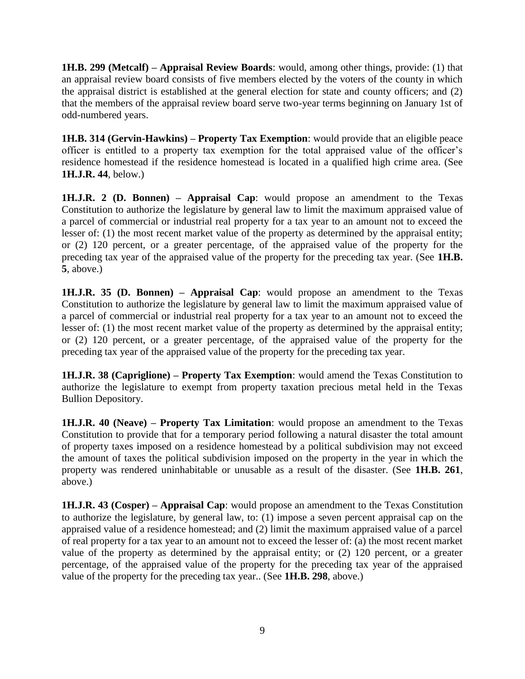**1H.B. 299 (Metcalf) – Appraisal Review Boards**: would, among other things, provide: (1) that an appraisal review board consists of five members elected by the voters of the county in which the appraisal district is established at the general election for state and county officers; and (2) that the members of the appraisal review board serve two-year terms beginning on January 1st of odd-numbered years.

**1H.B. 314 (Gervin-Hawkins) – Property Tax Exemption**: would provide that an eligible peace officer is entitled to a property tax exemption for the total appraised value of the officer's residence homestead if the residence homestead is located in a qualified high crime area. (See **1H.J.R. 44**, below.)

**1H.J.R. 2 (D. Bonnen) – Appraisal Cap**: would propose an amendment to the Texas Constitution to authorize the legislature by general law to limit the maximum appraised value of a parcel of commercial or industrial real property for a tax year to an amount not to exceed the lesser of: (1) the most recent market value of the property as determined by the appraisal entity; or (2) 120 percent, or a greater percentage, of the appraised value of the property for the preceding tax year of the appraised value of the property for the preceding tax year. (See **1H.B. 5**, above.)

**1H.J.R. 35 (D. Bonnen) – Appraisal Cap**: would propose an amendment to the Texas Constitution to authorize the legislature by general law to limit the maximum appraised value of a parcel of commercial or industrial real property for a tax year to an amount not to exceed the lesser of: (1) the most recent market value of the property as determined by the appraisal entity; or (2) 120 percent, or a greater percentage, of the appraised value of the property for the preceding tax year of the appraised value of the property for the preceding tax year.

**1H.J.R. 38 (Capriglione) – Property Tax Exemption**: would amend the Texas Constitution to authorize the legislature to exempt from property taxation precious metal held in the Texas Bullion Depository.

**1H.J.R. 40 (Neave) – Property Tax Limitation**: would propose an amendment to the Texas Constitution to provide that for a temporary period following a natural disaster the total amount of property taxes imposed on a residence homestead by a political subdivision may not exceed the amount of taxes the political subdivision imposed on the property in the year in which the property was rendered uninhabitable or unusable as a result of the disaster. (See **1H.B. 261**, above.)

**1H.J.R. 43 (Cosper) – Appraisal Cap**: would propose an amendment to the Texas Constitution to authorize the legislature, by general law, to: (1) impose a seven percent appraisal cap on the appraised value of a residence homestead; and (2) limit the maximum appraised value of a parcel of real property for a tax year to an amount not to exceed the lesser of: (a) the most recent market value of the property as determined by the appraisal entity; or (2) 120 percent, or a greater percentage, of the appraised value of the property for the preceding tax year of the appraised value of the property for the preceding tax year.. (See **1H.B. 298**, above.)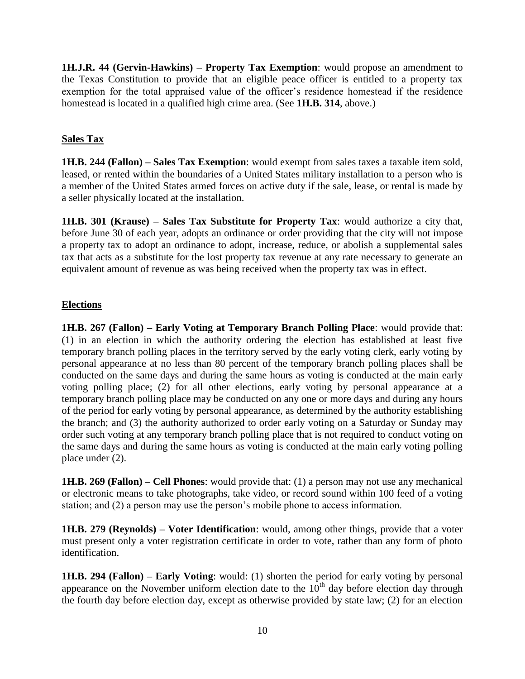**1H.J.R. 44 (Gervin-Hawkins) – Property Tax Exemption**: would propose an amendment to the Texas Constitution to provide that an eligible peace officer is entitled to a property tax exemption for the total appraised value of the officer's residence homestead if the residence homestead is located in a qualified high crime area. (See **1H.B. 314**, above.)

#### **Sales Tax**

**1H.B. 244 (Fallon) – Sales Tax Exemption**: would exempt from sales taxes a taxable item sold, leased, or rented within the boundaries of a United States military installation to a person who is a member of the United States armed forces on active duty if the sale, lease, or rental is made by a seller physically located at the installation.

**1H.B. 301 (Krause) – Sales Tax Substitute for Property Tax**: would authorize a city that, before June 30 of each year, adopts an ordinance or order providing that the city will not impose a property tax to adopt an ordinance to adopt, increase, reduce, or abolish a supplemental sales tax that acts as a substitute for the lost property tax revenue at any rate necessary to generate an equivalent amount of revenue as was being received when the property tax was in effect.

#### **Elections**

**1H.B. 267 (Fallon) – Early Voting at Temporary Branch Polling Place**: would provide that: (1) in an election in which the authority ordering the election has established at least five temporary branch polling places in the territory served by the early voting clerk, early voting by personal appearance at no less than 80 percent of the temporary branch polling places shall be conducted on the same days and during the same hours as voting is conducted at the main early voting polling place; (2) for all other elections, early voting by personal appearance at a temporary branch polling place may be conducted on any one or more days and during any hours of the period for early voting by personal appearance, as determined by the authority establishing the branch; and (3) the authority authorized to order early voting on a Saturday or Sunday may order such voting at any temporary branch polling place that is not required to conduct voting on the same days and during the same hours as voting is conducted at the main early voting polling place under (2).

**1H.B. 269 (Fallon) – Cell Phones**: would provide that: (1) a person may not use any mechanical or electronic means to take photographs, take video, or record sound within 100 feed of a voting station; and (2) a person may use the person's mobile phone to access information.

**1H.B. 279 (Reynolds) – Voter Identification**: would, among other things, provide that a voter must present only a voter registration certificate in order to vote, rather than any form of photo identification.

**1H.B. 294 (Fallon) – Early Voting**: would: (1) shorten the period for early voting by personal appearance on the November uniform election date to the  $10<sup>th</sup>$  day before election day through the fourth day before election day, except as otherwise provided by state law; (2) for an election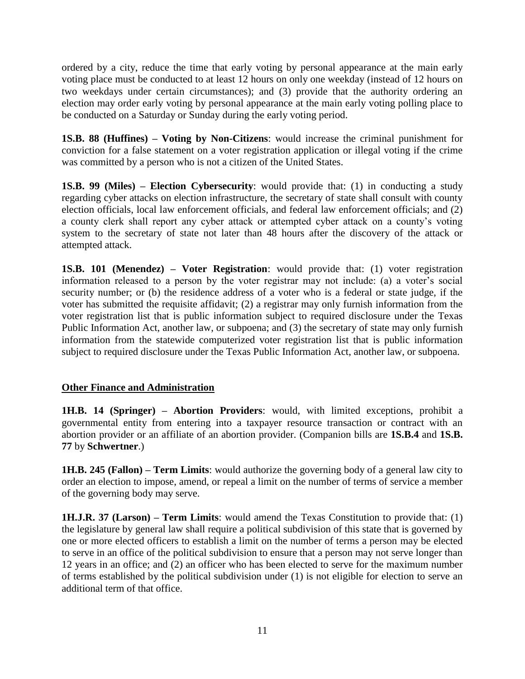ordered by a city, reduce the time that early voting by personal appearance at the main early voting place must be conducted to at least 12 hours on only one weekday (instead of 12 hours on two weekdays under certain circumstances); and (3) provide that the authority ordering an election may order early voting by personal appearance at the main early voting polling place to be conducted on a Saturday or Sunday during the early voting period.

**1S.B. 88 (Huffines) – Voting by Non-Citizens**: would increase the criminal punishment for conviction for a false statement on a voter registration application or illegal voting if the crime was committed by a person who is not a citizen of the United States.

**1S.B. 99 (Miles) – Election Cybersecurity**: would provide that: (1) in conducting a study regarding cyber attacks on election infrastructure, the secretary of state shall consult with county election officials, local law enforcement officials, and federal law enforcement officials; and (2) a county clerk shall report any cyber attack or attempted cyber attack on a county's voting system to the secretary of state not later than 48 hours after the discovery of the attack or attempted attack.

**1S.B. 101 (Menendez) – Voter Registration**: would provide that: (1) voter registration information released to a person by the voter registrar may not include: (a) a voter's social security number; or (b) the residence address of a voter who is a federal or state judge, if the voter has submitted the requisite affidavit; (2) a registrar may only furnish information from the voter registration list that is public information subject to required disclosure under the Texas Public Information Act, another law, or subpoena; and (3) the secretary of state may only furnish information from the statewide computerized voter registration list that is public information subject to required disclosure under the Texas Public Information Act, another law, or subpoena.

#### **Other Finance and Administration**

**1H.B. 14 (Springer) – Abortion Providers**: would, with limited exceptions, prohibit a governmental entity from entering into a taxpayer resource transaction or contract with an abortion provider or an affiliate of an abortion provider. (Companion bills are **1S.B.4** and **1S.B. 77** by **Schwertner**.)

**1H.B. 245 (Fallon) – Term Limits**: would authorize the governing body of a general law city to order an election to impose, amend, or repeal a limit on the number of terms of service a member of the governing body may serve.

**1H.J.R. 37 (Larson) – Term Limits**: would amend the Texas Constitution to provide that: (1) the legislature by general law shall require a political subdivision of this state that is governed by one or more elected officers to establish a limit on the number of terms a person may be elected to serve in an office of the political subdivision to ensure that a person may not serve longer than 12 years in an office; and (2) an officer who has been elected to serve for the maximum number of terms established by the political subdivision under (1) is not eligible for election to serve an additional term of that office.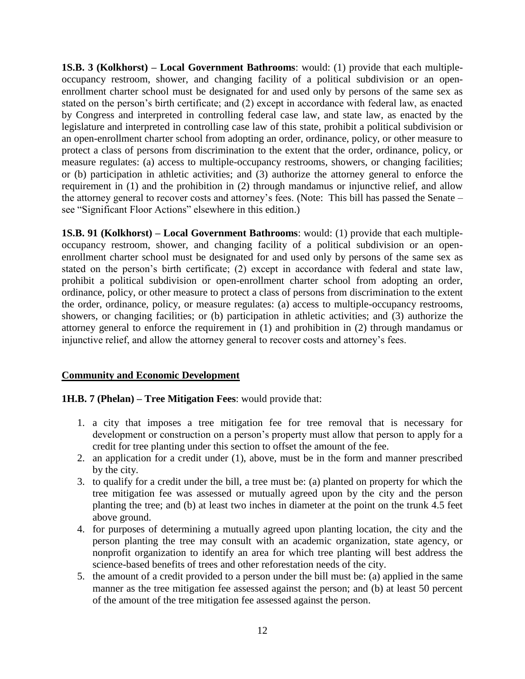**1S.B. 3 (Kolkhorst) – Local Government Bathrooms**: would: (1) provide that each multipleoccupancy restroom, shower, and changing facility of a political subdivision or an openenrollment charter school must be designated for and used only by persons of the same sex as stated on the person's birth certificate; and (2) except in accordance with federal law, as enacted by Congress and interpreted in controlling federal case law, and state law, as enacted by the legislature and interpreted in controlling case law of this state, prohibit a political subdivision or an open-enrollment charter school from adopting an order, ordinance, policy, or other measure to protect a class of persons from discrimination to the extent that the order, ordinance, policy, or measure regulates: (a) access to multiple-occupancy restrooms, showers, or changing facilities; or (b) participation in athletic activities; and (3) authorize the attorney general to enforce the requirement in (1) and the prohibition in (2) through mandamus or injunctive relief, and allow the attorney general to recover costs and attorney's fees. (Note: This bill has passed the Senate – see "Significant Floor Actions" elsewhere in this edition.)

**1S.B. 91 (Kolkhorst) – Local Government Bathrooms**: would: (1) provide that each multipleoccupancy restroom, shower, and changing facility of a political subdivision or an openenrollment charter school must be designated for and used only by persons of the same sex as stated on the person's birth certificate; (2) except in accordance with federal and state law, prohibit a political subdivision or open-enrollment charter school from adopting an order, ordinance, policy, or other measure to protect a class of persons from discrimination to the extent the order, ordinance, policy, or measure regulates: (a) access to multiple-occupancy restrooms, showers, or changing facilities; or (b) participation in athletic activities; and (3) authorize the attorney general to enforce the requirement in (1) and prohibition in (2) through mandamus or injunctive relief, and allow the attorney general to recover costs and attorney's fees.

#### **Community and Economic Development**

#### **1H.B. 7 (Phelan) – Tree Mitigation Fees**: would provide that:

- 1. a city that imposes a tree mitigation fee for tree removal that is necessary for development or construction on a person's property must allow that person to apply for a credit for tree planting under this section to offset the amount of the fee.
- 2. an application for a credit under (1), above, must be in the form and manner prescribed by the city.
- 3. to qualify for a credit under the bill, a tree must be: (a) planted on property for which the tree mitigation fee was assessed or mutually agreed upon by the city and the person planting the tree; and (b) at least two inches in diameter at the point on the trunk 4.5 feet above ground.
- 4. for purposes of determining a mutually agreed upon planting location, the city and the person planting the tree may consult with an academic organization, state agency, or nonprofit organization to identify an area for which tree planting will best address the science-based benefits of trees and other reforestation needs of the city.
- 5. the amount of a credit provided to a person under the bill must be: (a) applied in the same manner as the tree mitigation fee assessed against the person; and (b) at least 50 percent of the amount of the tree mitigation fee assessed against the person.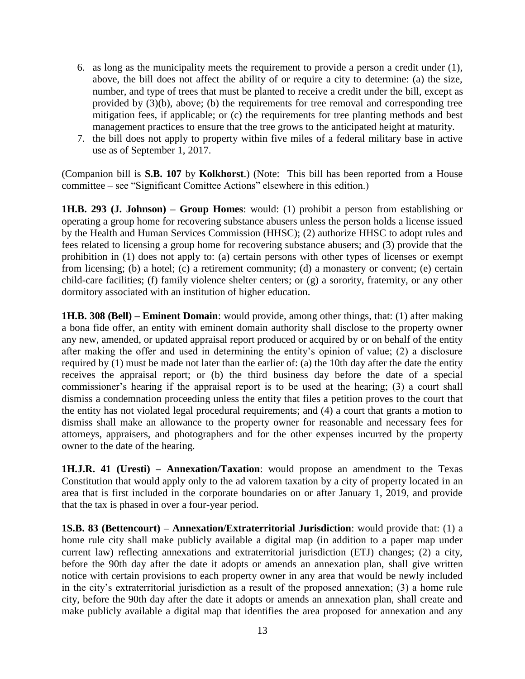- 6. as long as the municipality meets the requirement to provide a person a credit under (1), above, the bill does not affect the ability of or require a city to determine: (a) the size, number, and type of trees that must be planted to receive a credit under the bill, except as provided by (3)(b), above; (b) the requirements for tree removal and corresponding tree mitigation fees, if applicable; or (c) the requirements for tree planting methods and best management practices to ensure that the tree grows to the anticipated height at maturity.
- 7. the bill does not apply to property within five miles of a federal military base in active use as of September 1, 2017.

(Companion bill is **S.B. 107** by **Kolkhorst**.) (Note: This bill has been reported from a House committee – see "Significant Comittee Actions" elsewhere in this edition.)

**1H.B. 293 (J. Johnson) – Group Homes**: would: (1) prohibit a person from establishing or operating a group home for recovering substance abusers unless the person holds a license issued by the Health and Human Services Commission (HHSC); (2) authorize HHSC to adopt rules and fees related to licensing a group home for recovering substance abusers; and (3) provide that the prohibition in (1) does not apply to: (a) certain persons with other types of licenses or exempt from licensing; (b) a hotel; (c) a retirement community; (d) a monastery or convent; (e) certain child-care facilities; (f) family violence shelter centers; or (g) a sorority, fraternity, or any other dormitory associated with an institution of higher education.

**1H.B. 308 (Bell) – Eminent Domain**: would provide, among other things, that: (1) after making a bona fide offer, an entity with eminent domain authority shall disclose to the property owner any new, amended, or updated appraisal report produced or acquired by or on behalf of the entity after making the offer and used in determining the entity's opinion of value; (2) a disclosure required by (1) must be made not later than the earlier of: (a) the 10th day after the date the entity receives the appraisal report; or (b) the third business day before the date of a special commissioner's hearing if the appraisal report is to be used at the hearing; (3) a court shall dismiss a condemnation proceeding unless the entity that files a petition proves to the court that the entity has not violated legal procedural requirements; and (4) a court that grants a motion to dismiss shall make an allowance to the property owner for reasonable and necessary fees for attorneys, appraisers, and photographers and for the other expenses incurred by the property owner to the date of the hearing.

**1H.J.R. 41 (Uresti) – Annexation/Taxation**: would propose an amendment to the Texas Constitution that would apply only to the ad valorem taxation by a city of property located in an area that is first included in the corporate boundaries on or after January 1, 2019, and provide that the tax is phased in over a four-year period.

**1S.B. 83 (Bettencourt) – Annexation/Extraterritorial Jurisdiction**: would provide that: (1) a home rule city shall make publicly available a digital map (in addition to a paper map under current law) reflecting annexations and extraterritorial jurisdiction (ETJ) changes; (2) a city, before the 90th day after the date it adopts or amends an annexation plan, shall give written notice with certain provisions to each property owner in any area that would be newly included in the city's extraterritorial jurisdiction as a result of the proposed annexation; (3) a home rule city, before the 90th day after the date it adopts or amends an annexation plan, shall create and make publicly available a digital map that identifies the area proposed for annexation and any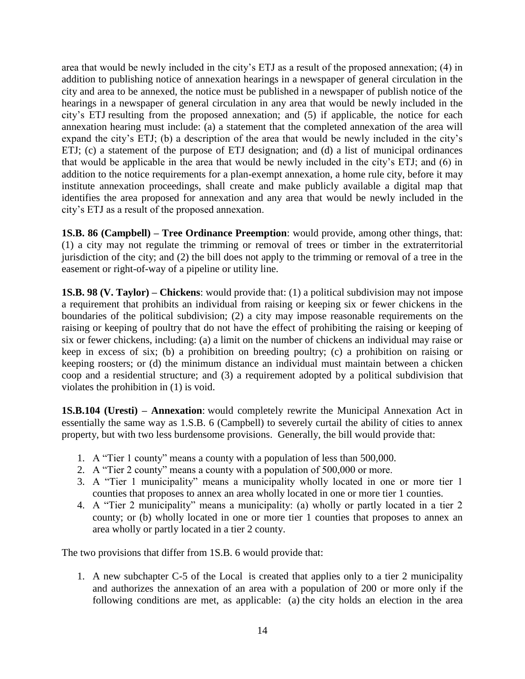area that would be newly included in the city's ETJ as a result of the proposed annexation; (4) in addition to publishing notice of annexation hearings in a newspaper of general circulation in the city and area to be annexed, the notice must be published in a newspaper of publish notice of the hearings in a newspaper of general circulation in any area that would be newly included in the city's ETJ resulting from the proposed annexation; and (5) if applicable, the notice for each annexation hearing must include: (a) a statement that the completed annexation of the area will expand the city's ETJ; (b) a description of the area that would be newly included in the city's ETJ; (c) a statement of the purpose of ETJ designation; and (d) a list of municipal ordinances that would be applicable in the area that would be newly included in the city's ETJ; and (6) in addition to the notice requirements for a plan-exempt annexation, a home rule city, before it may institute annexation proceedings, shall create and make publicly available a digital map that identifies the area proposed for annexation and any area that would be newly included in the city's ETJ as a result of the proposed annexation.

**1S.B. 86 (Campbell) – Tree Ordinance Preemption**: would provide, among other things, that: (1) a city may not regulate the trimming or removal of trees or timber in the extraterritorial jurisdiction of the city; and (2) the bill does not apply to the trimming or removal of a tree in the easement or right-of-way of a pipeline or utility line.

**1S.B. 98 (V. Taylor) – Chickens**: would provide that: (1) a political subdivision may not impose a requirement that prohibits an individual from raising or keeping six or fewer chickens in the boundaries of the political subdivision; (2) a city may impose reasonable requirements on the raising or keeping of poultry that do not have the effect of prohibiting the raising or keeping of six or fewer chickens, including: (a) a limit on the number of chickens an individual may raise or keep in excess of six; (b) a prohibition on breeding poultry; (c) a prohibition on raising or keeping roosters; or (d) the minimum distance an individual must maintain between a chicken coop and a residential structure; and (3) a requirement adopted by a political subdivision that violates the prohibition in (1) is void.

**1S.B.104 (Uresti) – Annexation**: would completely rewrite the Municipal Annexation Act in essentially the same way as 1.S.B. 6 (Campbell) to severely curtail the ability of cities to annex property, but with two less burdensome provisions. Generally, the bill would provide that:

- 1. A "Tier 1 county" means a county with a population of less than 500,000.
- 2. A "Tier 2 county" means a county with a population of 500,000 or more.
- 3. A "Tier 1 municipality" means a municipality wholly located in one or more tier 1 counties that proposes to annex an area wholly located in one or more tier 1 counties.
- 4. A "Tier 2 municipality" means a municipality: (a) wholly or partly located in a tier 2 county; or (b) wholly located in one or more tier 1 counties that proposes to annex an area wholly or partly located in a tier 2 county.

The two provisions that differ from 1S.B. 6 would provide that:

1. A new subchapter C-5 of the Local is created that applies only to a tier 2 municipality and authorizes the annexation of an area with a population of 200 or more only if the following conditions are met, as applicable: (a) the city holds an election in the area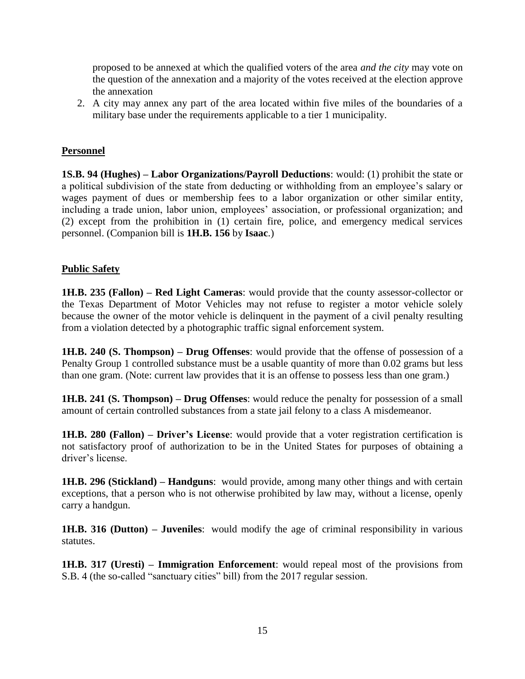proposed to be annexed at which the qualified voters of the area *and the city* may vote on the question of the annexation and a majority of the votes received at the election approve the annexation

2. A city may annex any part of the area located within five miles of the boundaries of a military base under the requirements applicable to a tier 1 municipality.

#### **Personnel**

**1S.B. 94 (Hughes) – Labor Organizations/Payroll Deductions**: would: (1) prohibit the state or a political subdivision of the state from deducting or withholding from an employee's salary or wages payment of dues or membership fees to a labor organization or other similar entity, including a trade union, labor union, employees' association, or professional organization; and (2) except from the prohibition in (1) certain fire, police, and emergency medical services personnel. (Companion bill is **1H.B. 156** by **Isaac**.)

#### **Public Safety**

**1H.B. 235 (Fallon) – Red Light Cameras**: would provide that the county assessor-collector or the Texas Department of Motor Vehicles may not refuse to register a motor vehicle solely because the owner of the motor vehicle is delinquent in the payment of a civil penalty resulting from a violation detected by a photographic traffic signal enforcement system.

**1H.B. 240 (S. Thompson) – Drug Offenses**: would provide that the offense of possession of a Penalty Group 1 controlled substance must be a usable quantity of more than 0.02 grams but less than one gram. (Note: current law provides that it is an offense to possess less than one gram.)

**1H.B. 241 (S. Thompson) – Drug Offenses**: would reduce the penalty for possession of a small amount of certain controlled substances from a state jail felony to a class A misdemeanor.

**1H.B. 280 (Fallon) – Driver's License**: would provide that a voter registration certification is not satisfactory proof of authorization to be in the United States for purposes of obtaining a driver's license.

**1H.B. 296 (Stickland) – Handguns**: would provide, among many other things and with certain exceptions, that a person who is not otherwise prohibited by law may, without a license, openly carry a handgun.

**1H.B. 316 (Dutton) – Juveniles**: would modify the age of criminal responsibility in various statutes.

**1H.B. 317 (Uresti) – Immigration Enforcement**: would repeal most of the provisions from S.B. 4 (the so-called "sanctuary cities" bill) from the 2017 regular session.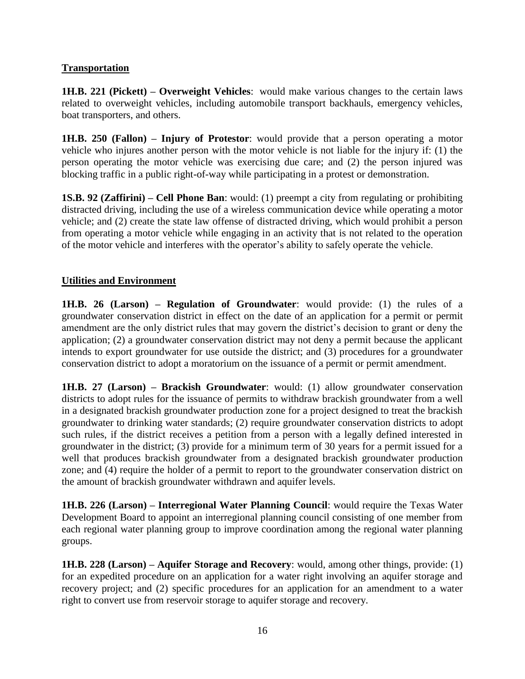#### **Transportation**

**1H.B. 221 (Pickett) – Overweight Vehicles**: would make various changes to the certain laws related to overweight vehicles, including automobile transport backhauls, emergency vehicles, boat transporters, and others.

**1H.B. 250 (Fallon) – Injury of Protestor**: would provide that a person operating a motor vehicle who injures another person with the motor vehicle is not liable for the injury if: (1) the person operating the motor vehicle was exercising due care; and (2) the person injured was blocking traffic in a public right-of-way while participating in a protest or demonstration.

**1S.B. 92 (Zaffirini) – Cell Phone Ban**: would: (1) preempt a city from regulating or prohibiting distracted driving, including the use of a wireless communication device while operating a motor vehicle; and (2) create the state law offense of distracted driving, which would prohibit a person from operating a motor vehicle while engaging in an activity that is not related to the operation of the motor vehicle and interferes with the operator's ability to safely operate the vehicle.

#### **Utilities and Environment**

**1H.B. 26 (Larson) – Regulation of Groundwater**: would provide: (1) the rules of a groundwater conservation district in effect on the date of an application for a permit or permit amendment are the only district rules that may govern the district's decision to grant or deny the application; (2) a groundwater conservation district may not deny a permit because the applicant intends to export groundwater for use outside the district; and (3) procedures for a groundwater conservation district to adopt a moratorium on the issuance of a permit or permit amendment.

**1H.B. 27 (Larson) – Brackish Groundwater**: would: (1) allow groundwater conservation districts to adopt rules for the issuance of permits to withdraw brackish groundwater from a well in a designated brackish groundwater production zone for a project designed to treat the brackish groundwater to drinking water standards; (2) require groundwater conservation districts to adopt such rules, if the district receives a petition from a person with a legally defined interested in groundwater in the district; (3) provide for a minimum term of 30 years for a permit issued for a well that produces brackish groundwater from a designated brackish groundwater production zone; and (4) require the holder of a permit to report to the groundwater conservation district on the amount of brackish groundwater withdrawn and aquifer levels.

**1H.B. 226 (Larson) – Interregional Water Planning Council**: would require the Texas Water Development Board to appoint an interregional planning council consisting of one member from each regional water planning group to improve coordination among the regional water planning groups.

**1H.B. 228 (Larson) – Aquifer Storage and Recovery**: would, among other things, provide: (1) for an expedited procedure on an application for a water right involving an aquifer storage and recovery project; and (2) specific procedures for an application for an amendment to a water right to convert use from reservoir storage to aquifer storage and recovery.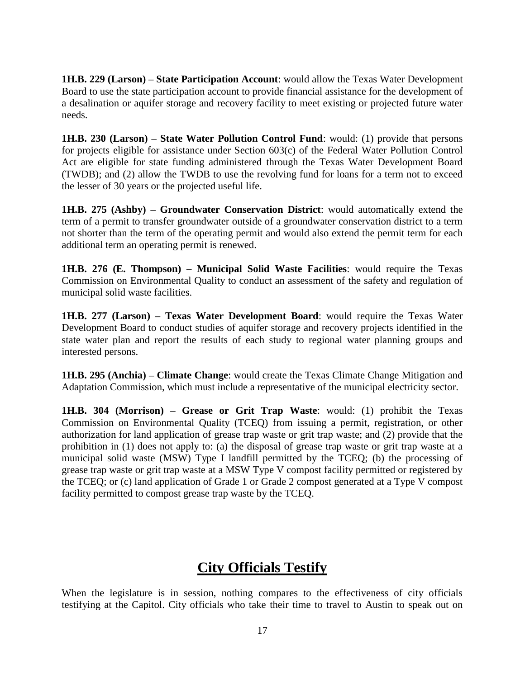**1H.B. 229 (Larson) – State Participation Account**: would allow the Texas Water Development Board to use the state participation account to provide financial assistance for the development of a desalination or aquifer storage and recovery facility to meet existing or projected future water needs.

**1H.B. 230 (Larson) – State Water Pollution Control Fund**: would: (1) provide that persons for projects eligible for assistance under Section 603(c) of the Federal Water Pollution Control Act are eligible for state funding administered through the Texas Water Development Board (TWDB); and (2) allow the TWDB to use the revolving fund for loans for a term not to exceed the lesser of 30 years or the projected useful life.

**1H.B. 275 (Ashby) – Groundwater Conservation District**: would automatically extend the term of a permit to transfer groundwater outside of a groundwater conservation district to a term not shorter than the term of the operating permit and would also extend the permit term for each additional term an operating permit is renewed.

**1H.B. 276 (E. Thompson) – Municipal Solid Waste Facilities**: would require the Texas Commission on Environmental Quality to conduct an assessment of the safety and regulation of municipal solid waste facilities.

**1H.B. 277 (Larson) – Texas Water Development Board**: would require the Texas Water Development Board to conduct studies of aquifer storage and recovery projects identified in the state water plan and report the results of each study to regional water planning groups and interested persons.

**1H.B. 295 (Anchia) – Climate Change**: would create the Texas Climate Change Mitigation and Adaptation Commission, which must include a representative of the municipal electricity sector.

**1H.B. 304 (Morrison) – Grease or Grit Trap Waste**: would: (1) prohibit the Texas Commission on Environmental Quality (TCEQ) from issuing a permit, registration, or other authorization for land application of grease trap waste or grit trap waste; and (2) provide that the prohibition in (1) does not apply to: (a) the disposal of grease trap waste or grit trap waste at a municipal solid waste (MSW) Type I landfill permitted by the TCEQ; (b) the processing of grease trap waste or grit trap waste at a MSW Type V compost facility permitted or registered by the TCEQ; or (c) land application of Grade 1 or Grade 2 compost generated at a Type V compost facility permitted to compost grease trap waste by the TCEQ.

### **City Officials Testify**

When the legislature is in session, nothing compares to the effectiveness of city officials testifying at the Capitol. City officials who take their time to travel to Austin to speak out on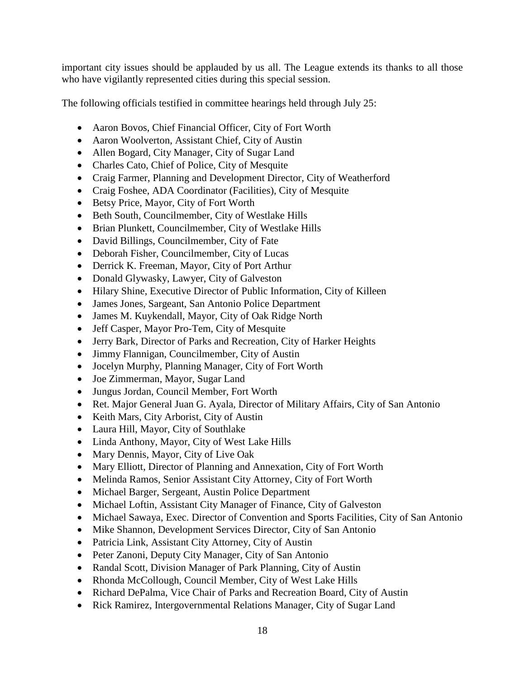important city issues should be applauded by us all. The League extends its thanks to all those who have vigilantly represented cities during this special session.

The following officials testified in committee hearings held through July 25:

- Aaron Bovos, Chief Financial Officer, City of Fort Worth
- Aaron Woolverton, Assistant Chief, City of Austin
- Allen Bogard, City Manager, City of Sugar Land
- Charles Cato, Chief of Police, City of Mesquite
- Craig Farmer, Planning and Development Director, City of Weatherford
- Craig Foshee, ADA Coordinator (Facilities), City of Mesquite
- Betsy Price, Mayor, City of Fort Worth
- Beth South, Councilmember, City of Westlake Hills
- Brian Plunkett, Councilmember, City of Westlake Hills
- David Billings, Councilmember, City of Fate
- Deborah Fisher, Councilmember, City of Lucas
- Derrick K. Freeman, Mayor, City of Port Arthur
- Donald Glywasky, Lawyer, City of Galveston
- Hilary Shine, Executive Director of Public Information, City of Killeen
- James Jones, Sargeant, San Antonio Police Department
- James M. Kuykendall, Mayor, City of Oak Ridge North
- Jeff Casper, Mayor Pro-Tem, City of Mesquite
- Jerry Bark, Director of Parks and Recreation, City of Harker Heights
- Jimmy Flannigan, Councilmember, City of Austin
- Jocelyn Murphy, Planning Manager, City of Fort Worth
- Joe Zimmerman, Mayor, Sugar Land
- Jungus Jordan, Council Member, Fort Worth
- Ret. Major General Juan G. Ayala, Director of Military Affairs, City of San Antonio
- Keith Mars, City Arborist, City of Austin
- Laura Hill, Mayor, City of Southlake
- Linda Anthony, Mayor, City of West Lake Hills
- Mary Dennis, Mayor, City of Live Oak
- Mary Elliott, Director of Planning and Annexation, City of Fort Worth
- Melinda Ramos, Senior Assistant City Attorney, City of Fort Worth
- Michael Barger, Sergeant, Austin Police Department
- Michael Loftin, Assistant City Manager of Finance, City of Galveston
- Michael Sawaya, Exec. Director of Convention and Sports Facilities, City of San Antonio
- Mike Shannon, Development Services Director, City of San Antonio
- Patricia Link, Assistant City Attorney, City of Austin
- Peter Zanoni, Deputy City Manager, City of San Antonio
- Randal Scott, Division Manager of Park Planning, City of Austin
- Rhonda McCollough, Council Member, City of West Lake Hills
- Richard DePalma, Vice Chair of Parks and Recreation Board, City of Austin
- Rick Ramirez, Intergovernmental Relations Manager, City of Sugar Land